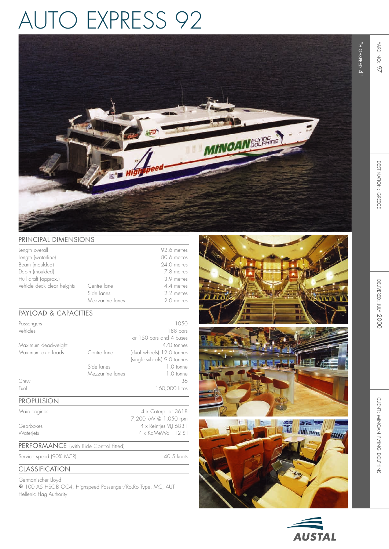## auto express 92



## PRINCIPAL DIMENSIONS

| Length overall             |                 | 92.6 metres |
|----------------------------|-----------------|-------------|
| Length (waterline)         |                 | 80.6 metres |
| Beam (moulded)             |                 | 24.0 metres |
| Depth (moulded)            |                 | 7.8 metres  |
| Hull draft (approx.)       |                 | 3.9 metres  |
| Vehicle deck clear heights | Centre lane     | 4.4 metres  |
|                            | Side lanes      | 2.2 metres  |
|                            | Mezzanine lanes | 2.0 metres  |
|                            |                 |             |

## PAYLOAD & CAPACITIES

| Passengers         |                 | 1050                        |
|--------------------|-----------------|-----------------------------|
| Vehicles           |                 | 188 cars                    |
|                    |                 | or 150 cars and 4 buses     |
| Maximum deadweight |                 | 470 tonnes                  |
| Maximum axle loads | Centre lane     | (dual wheels) 12.0 tonnes   |
|                    |                 | (single wheels) 9.0 tonnes  |
|                    | Side lanes      | 1.0 tonne                   |
|                    | Mezzanine lanes | 1.0 tonne                   |
| Crew               |                 | 36                          |
| Fuel               |                 | 160,000 litres              |
| <b>PROPULSION</b>  |                 |                             |
| Main engines       |                 | $4 \times$ Caterpillar 3618 |

Gearboxes

Waterjets 4 x KaMeWa 112 SII PERFORMANCE (with Ride Control fitted)

Service speed (90% MC R

) 40.5 knots

7,200 kW @ 1,050 rpm

 $4 \times$  Reintjes VLJ 6831

## Classification

Germanischer Lloyd

**X** 100 A5 HSC-B OC4, Highspeed Passenger/Ro.Ro Type, MC, A Hellenic Flag Authority









"highspeed  $\tau$  HIGHSPEED  $\tau$